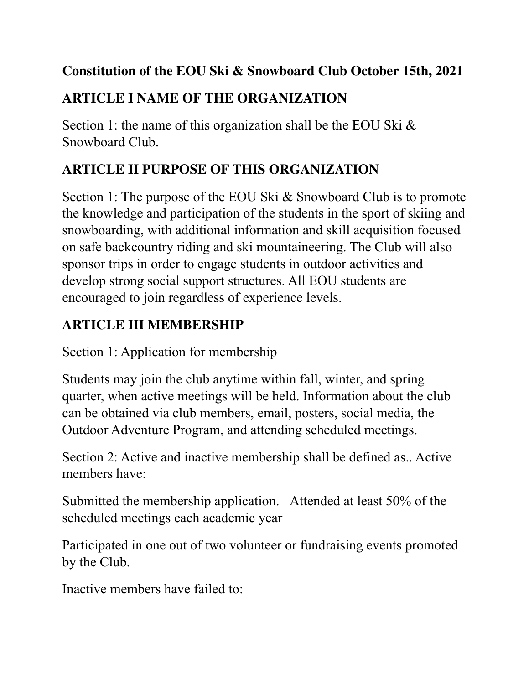#### **Constitution of the EOU Ski & Snowboard Club October 15th, 2021**

### **ARTICLE I NAME OF THE ORGANIZATION**

Section 1: the name of this organization shall be the EOU Ski  $\&$ Snowboard Club.

### **ARTICLE II PURPOSE OF THIS ORGANIZATION**

Section 1: The purpose of the EOU Ski & Snowboard Club is to promote the knowledge and participation of the students in the sport of skiing and snowboarding, with additional information and skill acquisition focused on safe backcountry riding and ski mountaineering. The Club will also sponsor trips in order to engage students in outdoor activities and develop strong social support structures. All EOU students are encouraged to join regardless of experience levels.

### **ARTICLE III MEMBERSHIP**

Section 1: Application for membership

Students may join the club anytime within fall, winter, and spring quarter, when active meetings will be held. Information about the club can be obtained via club members, email, posters, social media, the Outdoor Adventure Program, and attending scheduled meetings.

Section 2: Active and inactive membership shall be defined as.. Active members have:

Submitted the membership application. Attended at least 50% of the scheduled meetings each academic year

Participated in one out of two volunteer or fundraising events promoted by the Club.

Inactive members have failed to: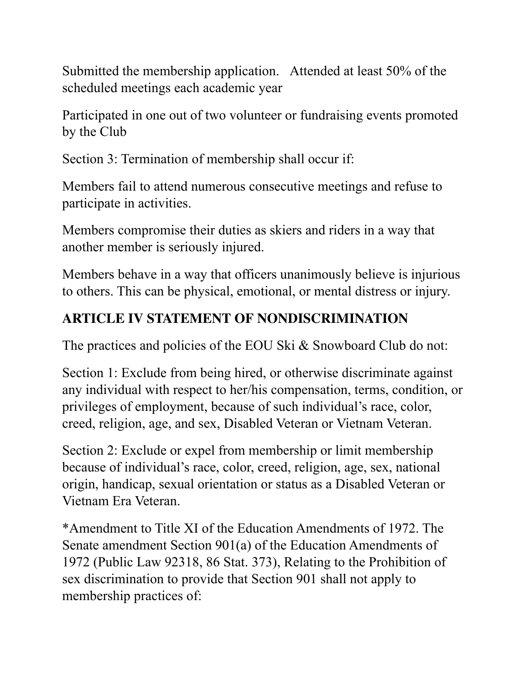Submitted the membership application. Attended at least 50% of the scheduled meetings each academic year

Participated in one out of two volunteer or fundraising events promoted by the Club

Section 3: Termination of membership shall occur if:

Members fail to attend numerous consecutive meetings and refuse to participate in activities.

Members compromise their duties as skiers and riders in a way that another member is seriously injured.

Members behave in a way that officers unanimously believe is injurious to others. This can be physical, emotional, or mental distress or injury.

### **ARTICLE IV STATEMENT OF NONDISCRIMINATION**

The practices and policies of the EOU Ski & Snowboard Club do not:

Section 1: Exclude from being hired, or otherwise discriminate against any individual with respect to her/his compensation, terms, condition, or privileges of employment, because of such individual's race, color, creed, religion, age, and sex, Disabled Veteran or Vietnam Veteran.

Section 2: Exclude or expel from membership or limit membership because of individual's race, color, creed, religion, age, sex, national origin, handicap, sexual orientation or status as a Disabled Veteran or Vietnam Era Veteran.

\*Amendment to Title XI of the Education Amendments of 1972. The Senate amendment Section 901(a) of the Education Amendments of 1972 (Public Law 92318, 86 Stat. 373), Relating to the Prohibition of sex discrimination to provide that Section 901 shall not apply to membership practices of: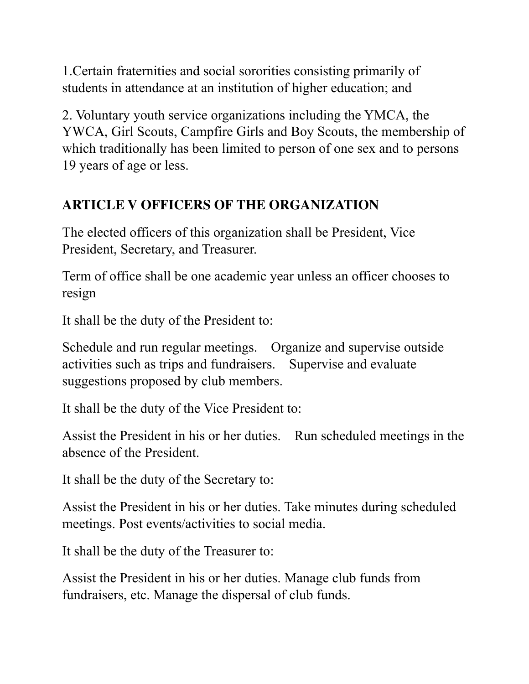1.Certain fraternities and social sororities consisting primarily of students in attendance at an institution of higher education; and

2. Voluntary youth service organizations including the YMCA, the YWCA, Girl Scouts, Campfire Girls and Boy Scouts, the membership of which traditionally has been limited to person of one sex and to persons 19 years of age or less.

#### **ARTICLE V OFFICERS OF THE ORGANIZATION**

The elected officers of this organization shall be President, Vice President, Secretary, and Treasurer.

Term of office shall be one academic year unless an officer chooses to resign

It shall be the duty of the President to:

Schedule and run regular meetings. Organize and supervise outside activities such as trips and fundraisers. Supervise and evaluate suggestions proposed by club members.

It shall be the duty of the Vice President to:

Assist the President in his or her duties. Run scheduled meetings in the absence of the President.

It shall be the duty of the Secretary to:

Assist the President in his or her duties. Take minutes during scheduled meetings. Post events/activities to social media.

It shall be the duty of the Treasurer to:

Assist the President in his or her duties. Manage club funds from fundraisers, etc. Manage the dispersal of club funds.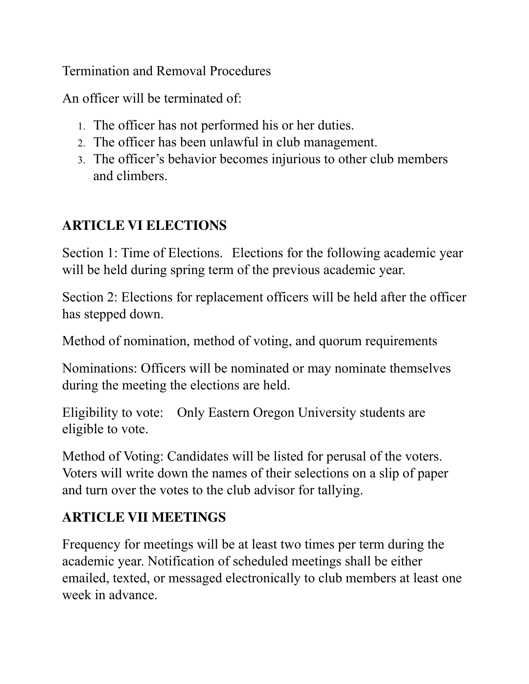Termination and Removal Procedures

An officer will be terminated of:

- 1. The officer has not performed his or her duties.
- 2. The officer has been unlawful in club management.
- 3. The officer's behavior becomes injurious to other club members and climbers.

## **ARTICLE VI ELECTIONS**

Section 1: Time of Elections. Elections for the following academic year will be held during spring term of the previous academic year.

Section 2: Elections for replacement officers will be held after the officer has stepped down.

Method of nomination, method of voting, and quorum requirements

Nominations: Officers will be nominated or may nominate themselves during the meeting the elections are held.

Eligibility to vote: Only Eastern Oregon University students are eligible to vote.

Method of Voting: Candidates will be listed for perusal of the voters. Voters will write down the names of their selections on a slip of paper and turn over the votes to the club advisor for tallying.

## **ARTICLE VII MEETINGS**

Frequency for meetings will be at least two times per term during the academic year. Notification of scheduled meetings shall be either emailed, texted, or messaged electronically to club members at least one week in advance.